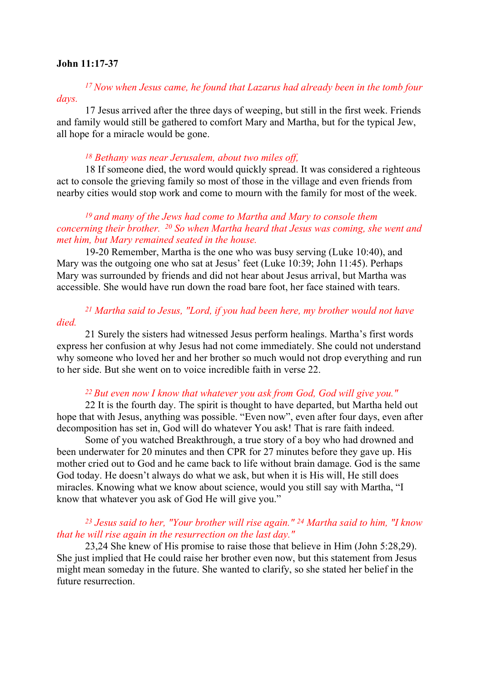#### John 11:17-37

<sup>17</sup>Now when Jesus came, he found that Lazarus had already been in the tomb four days.

17 Jesus arrived after the three days of weeping, but still in the first week. Friends and family would still be gathered to comfort Mary and Martha, but for the typical Jew, all hope for a miracle would be gone.

#### <sup>18</sup> Bethany was near Jerusalem, about two miles off,

18 If someone died, the word would quickly spread. It was considered a righteous act to console the grieving family so most of those in the village and even friends from nearby cities would stop work and come to mourn with the family for most of the week.

## $19$  and many of the Jews had come to Martha and Mary to console them concerning their brother. 20 So when Martha heard that Jesus was coming, she went and met him, but Mary remained seated in the house.

19-20 Remember, Martha is the one who was busy serving (Luke 10:40), and Mary was the outgoing one who sat at Jesus' feet (Luke 10:39; John 11:45). Perhaps Mary was surrounded by friends and did not hear about Jesus arrival, but Martha was accessible. She would have run down the road bare foot, her face stained with tears.

## <sup>21</sup> Martha said to Jesus, "Lord, if you had been here, my brother would not have died.

21 Surely the sisters had witnessed Jesus perform healings. Martha's first words express her confusion at why Jesus had not come immediately. She could not understand why someone who loved her and her brother so much would not drop everything and run to her side. But she went on to voice incredible faith in verse 22.

#### <sup>22</sup> But even now I know that whatever you ask from God, God will give you."

22 It is the fourth day. The spirit is thought to have departed, but Martha held out hope that with Jesus, anything was possible. "Even now", even after four days, even after decomposition has set in, God will do whatever You ask! That is rare faith indeed.

Some of you watched Breakthrough, a true story of a boy who had drowned and been underwater for 20 minutes and then CPR for 27 minutes before they gave up. His mother cried out to God and he came back to life without brain damage. God is the same God today. He doesn't always do what we ask, but when it is His will, He still does miracles. Knowing what we know about science, would you still say with Martha, "I know that whatever you ask of God He will give you."

#### <sup>23</sup> Jesus said to her, "Your brother will rise again." <sup>24</sup> Martha said to him, "I know that he will rise again in the resurrection on the last day."

23,24 She knew of His promise to raise those that believe in Him (John 5:28,29). She just implied that He could raise her brother even now, but this statement from Jesus might mean someday in the future. She wanted to clarify, so she stated her belief in the future resurrection.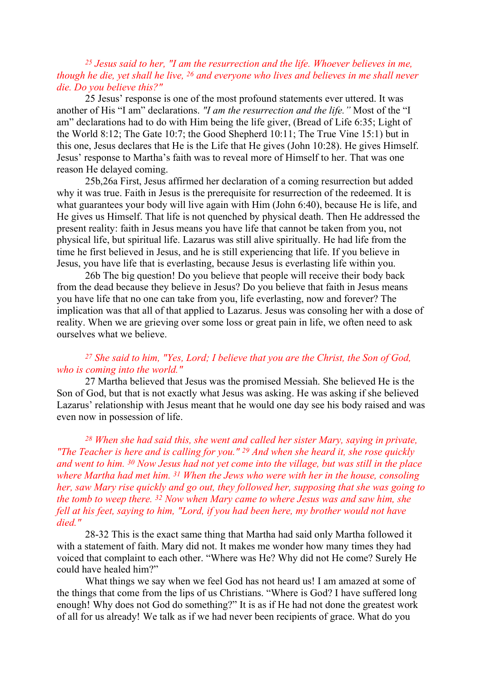## $25$  Jesus said to her, "I am the resurrection and the life. Whoever believes in me, though he die, yet shall he live, <sup>26</sup> and everyone who lives and believes in me shall never die. Do you believe this?"

25 Jesus' response is one of the most profound statements ever uttered. It was another of His "I am" declarations. "I am the resurrection and the life." Most of the "I am" declarations had to do with Him being the life giver, (Bread of Life 6:35; Light of the World 8:12; The Gate 10:7; the Good Shepherd 10:11; The True Vine 15:1) but in this one, Jesus declares that He is the Life that He gives (John 10:28). He gives Himself. Jesus' response to Martha's faith was to reveal more of Himself to her. That was one reason He delayed coming.

25b,26a First, Jesus affirmed her declaration of a coming resurrection but added why it was true. Faith in Jesus is the prerequisite for resurrection of the redeemed. It is what guarantees your body will live again with Him (John 6:40), because He is life, and He gives us Himself. That life is not quenched by physical death. Then He addressed the present reality: faith in Jesus means you have life that cannot be taken from you, not physical life, but spiritual life. Lazarus was still alive spiritually. He had life from the time he first believed in Jesus, and he is still experiencing that life. If you believe in Jesus, you have life that is everlasting, because Jesus is everlasting life within you.

26b The big question! Do you believe that people will receive their body back from the dead because they believe in Jesus? Do you believe that faith in Jesus means you have life that no one can take from you, life everlasting, now and forever? The implication was that all of that applied to Lazarus. Jesus was consoling her with a dose of reality. When we are grieving over some loss or great pain in life, we often need to ask ourselves what we believe.

### <sup>27</sup> She said to him, "Yes, Lord; I believe that you are the Christ, the Son of God, who is coming into the world."

27 Martha believed that Jesus was the promised Messiah. She believed He is the Son of God, but that is not exactly what Jesus was asking. He was asking if she believed Lazarus' relationship with Jesus meant that he would one day see his body raised and was even now in possession of life.

 $28$  When she had said this, she went and called her sister Mary, saying in private, "The Teacher is here and is calling for you."  $29$  And when she heard it, she rose quickly and went to him. 30 Now Jesus had not yet come into the village, but was still in the place where Martha had met him. <sup>31</sup> When the Jews who were with her in the house, consoling her, saw Mary rise quickly and go out, they followed her, supposing that she was going to the tomb to weep there. <sup>32</sup> Now when Mary came to where Jesus was and saw him, she fell at his feet, saying to him, "Lord, if you had been here, my brother would not have died."

28-32 This is the exact same thing that Martha had said only Martha followed it with a statement of faith. Mary did not. It makes me wonder how many times they had voiced that complaint to each other. "Where was He? Why did not He come? Surely He could have healed him?"

What things we say when we feel God has not heard us! I am amazed at some of the things that come from the lips of us Christians. "Where is God? I have suffered long enough! Why does not God do something?" It is as if He had not done the greatest work of all for us already! We talk as if we had never been recipients of grace. What do you